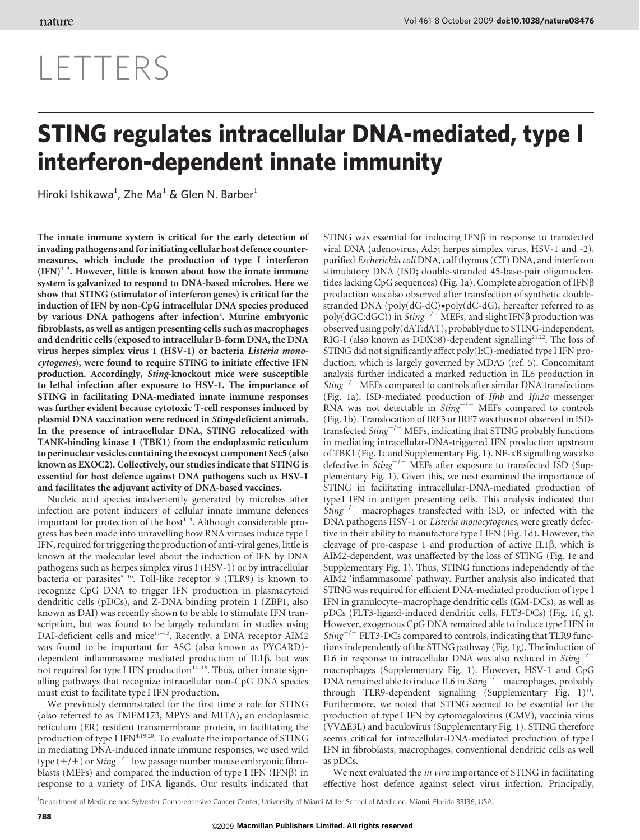# LETTERS

## STING regulates intracellular DNA-mediated, type I interferon-dependent innate immunity

Hiroki Ishikawa<sup>1</sup>, Zhe Ma<sup>1</sup> & Glen N. Barber<sup>1</sup>

The innate immune system is critical for the early detection of invading pathogens and for initiating cellular host defence countermeasures, which include the production of type I interferon  $(IFN)^{1-3}$ . However, little is known about how the innate immune system is galvanized to respond to DNA-based microbes. Here we show that STING (stimulator of interferon genes) is critical for the induction of IFN by non-CpG intracellular DNA species produced by various DNA pathogens after infection<sup>4</sup>. Murine embryonic fibroblasts, as well as antigen presenting cells such as macrophages and dendritic cells (exposed to intracellular B-form DNA, the DNA virus herpes simplex virus 1 (HSV-1) or bacteria Listeria monocytogenes), were found to require STING to initiate effective IFN production. Accordingly, Sting-knockout mice were susceptible to lethal infection after exposure to HSV-1. The importance of STING in facilitating DNA-mediated innate immune responses was further evident because cytotoxic T-cell responses induced by plasmid DNA vaccination were reduced in Sting-deficient animals. In the presence of intracellular DNA, STING relocalized with TANK-binding kinase 1 (TBK1) from the endoplasmic reticulum to perinuclear vesicles containing the exocyst component Sec5 (also known as EXOC2). Collectively, our studies indicate that STING is essential for host defence against DNA pathogens such as HSV-1 and facilitates the adjuvant activity of DNA-based vaccines.

Nucleic acid species inadvertently generated by microbes after infection are potent inducers of cellular innate immune defences important for protection of the host<sup>1-3</sup>. Although considerable progress has been made into unravelling how RNA viruses induce type I IFN, required for triggering the production of anti-viral genes, little is known at the molecular level about the induction of IFN by DNA pathogens such as herpes simplex virus I (HSV-1) or by intracellular bacteria or parasites<sup>5-10</sup>. Toll-like receptor 9 (TLR9) is known to recognize CpG DNA to trigger IFN production in plasmacytoid dendritic cells (pDCs), and Z-DNA binding protein 1 (ZBP1, also known as DAI) was recently shown to be able to stimulate IFN transcription, but was found to be largely redundant in studies using DAI-deficient cells and mice<sup>11-13</sup>. Recently, a DNA receptor AIM2 was found to be important for ASC (also known as PYCARD) dependent inflammasome mediated production of IL1 $\beta$ , but was not required for type I IFN production<sup>14-18</sup>. Thus, other innate signalling pathways that recognize intracellular non-CpG DNA species must exist to facilitate type I IFN production.

We previously demonstrated for the first time a role for STING (also referred to as TMEM173, MPYS and MITA), an endoplasmic reticulum (ER) resident transmembrane protein, in facilitating the production of type I IFN<sup>4,19,20</sup>. To evaluate the importance of STING in mediating DNA-induced innate immune responses, we used wild type  $(+/+)$  or *Sting*<sup>-/-</sup> low passage number mouse embryonic fibroblasts (MEFs) and compared the induction of type I IFN (IFN $\beta$ ) in response to a variety of DNA ligands. Our results indicated that

STING was essential for inducing IFN $\beta$  in response to transfected viral DNA (adenovirus, Ad5; herpes simplex virus, HSV-1 and -2), purified Escherichia coli DNA, calf thymus (CT) DNA, and interferon stimulatory DNA (ISD; double-stranded 45-base-pair oligonucleotides lacking CpG sequences) (Fig. 1a). Complete abrogation of IFN $\beta$ production was also observed after transfection of synthetic doublestranded DNA (poly(dG-dC) $\bullet$ poly(dC-dG), hereafter referred to as poly(dGC:dGC)) in Sting<sup>-/-</sup> MEFs, and slight IFN $\beta$  production was observed using poly(dAT:dAT), probably due to STING-independent, RIG-I (also known as DDX58)-dependent signalling<sup>21,22</sup>. The loss of STING did not significantly affect poly(I:C)-mediated type I IFN production, which is largely governed by MDA5 (ref. 5). Concomitant analysis further indicated a marked reduction in IL6 production in  $Sting^{-/-}$  MEFs compared to controls after similar DNA transfections (Fig. 1a). ISD-mediated production of Ifnb and Ifn2a messenger RNA was not detectable in  $Sting^{-/-}$  MEFs compared to controls (Fig. 1b). Translocation of IRF3 or IRF7 was thus not observed in ISDtransfected  $\mathit{String}^{-/-}$  MEFs, indicating that STING probably functions in mediating intracellular-DNA-triggered IFN production upstream of TBK1 (Fig. 1c and Supplementary Fig. 1). NF-kB signalling was also defective in Sting<sup>-/-</sup> MEFs after exposure to transfected ISD (Supplementary Fig. 1). Given this, we next examined the importance of STING in facilitating intracellular-DNA-mediated production of type I IFN in antigen presenting cells. This analysis indicated that  $Sting^{-/-}$  macrophages transfected with ISD, or infected with the DNA pathogens HSV-1 or Listeria monocytogenes, were greatly defective in their ability to manufacture type I IFN (Fig. 1d). However, the cleavage of pro-caspase 1 and production of active IL1 $\beta$ , which is AIM2-dependent, was unaffected by the loss of STING (Fig. 1e and Supplementary Fig. 1). Thus, STING functions independently of the AIM2 'inflammasome' pathway. Further analysis also indicated that STING was required for efficient DNA-mediated production of type I IFN in granulocyte–macrophage dendritic cells (GM-DCs), as well as pDCs (FLT3-ligand-induced dendritic cells, FLT3-DCs) (Fig. 1f, g). However, exogenous CpG DNA remained able to induce type I IFN in  $Sting^{-/-}$  FLT3-DCs compared to controls, indicating that TLR9 functions independently of the STING pathway (Fig. 1g). The induction of IL6 in response to intracellular DNA was also reduced in  $Sting^{-/2}$ macrophages (Supplementary Fig. 1). However, HSV-1 and CpG DNA remained able to induce IL6 in  $String^{-/-}$  macrophages, probably through TLR9-dependent signalling (Supplementary Fig.  $1$ )<sup>11</sup>. Furthermore, we noted that STING seemed to be essential for the production of type I IFN by cytomegalovirus (CMV), vaccinia virus  $(VV\Delta E3L)$  and baculovirus (Supplementary Fig. 1). STING therefore seems critical for intracellular-DNA-mediated production of type I IFN in fibroblasts, macrophages, conventional dendritic cells as well as pDCs.

We next evaluated the *in vivo* importance of STING in facilitating effective host defence against select virus infection. Principally,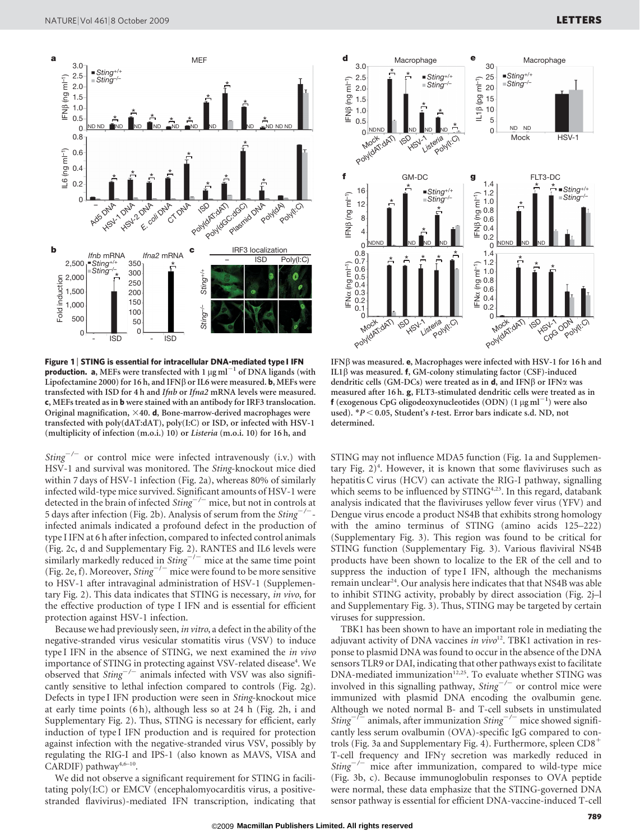

Figure 1 | STING is essential for intracellular DNA-mediated type I IFN **production.** a, MEFs were transfected with 1  $\mu$ g ml<sup>-1</sup> of DNA ligands (with Lipofectamine 2000) for 16 h, and IFN $\beta$  or IL6 were measured. **b**, MEFs were transfected with ISD for 4 h and Ifnb or Ifna2 mRNA levels were measured. c, MEFs treated as in b were stained with an antibody for IRF3 translocation. Original magnification,  $\times$ 40. d, Bone-marrow-derived macrophages were transfected with poly(dAT:dAT), poly(I:C) or ISD, or infected with HSV-1 (multiplicity of infection (m.o.i.) 10) or Listeria (m.o.i. 10) for 16 h, and

 $Sting^{-/-}$  or control mice were infected intravenously (i.v.) with HSV-1 and survival was monitored. The Sting-knockout mice died within 7 days of HSV-1 infection (Fig. 2a), whereas 80% of similarly infected wild-type mice survived. Significant amounts of HSV-1 were detected in the brain of infected  $String^{-/-}$  mice, but not in controls at 5 days after infection (Fig. 2b). Analysis of serum from the  $Sting^{-/-}$ infected animals indicated a profound defect in the production of type I IFN at 6 h after infection, compared to infected control animals (Fig. 2c, d and Supplementary Fig. 2). RANTES and IL6 levels were similarly markedly reduced in  $Sting^{-/-}$  mice at the same time point (Fig. 2e, f). Moreover,  $String^{-/-}$  mice were found to be more sensitive to HSV-1 after intravaginal administration of HSV-1 (Supplementary Fig. 2). This data indicates that STING is necessary, in vivo, for the effective production of type I IFN and is essential for efficient protection against HSV-1 infection.

Because we had previously seen, in vitro, a defect in the ability of the negative-stranded virus vesicular stomatitis virus (VSV) to induce type I IFN in the absence of STING, we next examined the in vivo importance of STING in protecting against VSV-related disease<sup>4</sup>. We observed that  $String^{-/-}$  animals infected with VSV was also significantly sensitive to lethal infection compared to controls (Fig. 2g). Defects in type I IFN production were seen in Sting-knockout mice at early time points (6 h), although less so at 24 h (Fig. 2h, i and Supplementary Fig. 2). Thus, STING is necessary for efficient, early induction of type I IFN production and is required for protection against infection with the negative-stranded virus VSV, possibly by regulating the RIG-I and IPS-1 (also known as MAVS, VISA and CARDIF) pathway<sup>4,6-10</sup>.

We did not observe a significant requirement for STING in facilitating poly(I:C) or EMCV (encephalomyocarditis virus, a positivestranded flavivirus)-mediated IFN transcription, indicating that



IFN $\beta$  was measured. e, Macrophages were infected with HSV-1 for 16 h and IL1 $\beta$  was measured. f, GM-colony stimulating factor (CSF)-induced dendritic cells (GM-DCs) were treated as in  $d$ , and IFN $\beta$  or IFN $\alpha$  was measured after 16 h. g, FLT3-stimulated dendritic cells were treated as in f (exogenous CpG oligodeoxynucleotides (ODN)  $(1 \,\mu\mathrm{g\,ml}^{-1})$  were also used).  $*P < 0.05$ , Student's t-test. Error bars indicate s.d. ND, not determined.

STING may not influence MDA5 function (Fig. 1a and Supplementary Fig.  $2)^4$ . However, it is known that some flaviviruses such as hepatitis C virus (HCV) can activate the RIG-I pathway, signalling which seems to be influenced by STING<sup>4,23</sup>. In this regard, databank analysis indicated that the flaviviruses yellow fever virus (YFV) and Dengue virus encode a product NS4B that exhibits strong homology with the amino terminus of STING (amino acids 125–222) (Supplementary Fig. 3). This region was found to be critical for STING function (Supplementary Fig. 3). Various flaviviral NS4B products have been shown to localize to the ER of the cell and to suppress the induction of type I IFN, although the mechanisms remain unclear<sup>24</sup>. Our analysis here indicates that that NS4B was able to inhibit STING activity, probably by direct association (Fig. 2j–l and Supplementary Fig. 3). Thus, STING may be targeted by certain viruses for suppression.

TBK1 has been shown to have an important role in mediating the adjuvant activity of DNA vaccines in  $vivo<sup>12</sup>$ . TBK1 activation in response to plasmid DNA was found to occur in the absence of the DNA sensors TLR9 or DAI, indicating that other pathways exist to facilitate DNA-mediated immunization<sup>12,25</sup>. To evaluate whether STING was involved in this signalling pathway,  $String^{-/-}$  or control mice were immunized with plasmid DNA encoding the ovalbumin gene. Although we noted normal B- and T-cell subsets in unstimulated Sting<sup>-/-</sup> animals, after immunization Sting<sup>-/-</sup> mice showed significantly less serum ovalbumin (OVA)-specific IgG compared to controls (Fig. 3a and Supplementary Fig. 4). Furthermore, spleen  $CD8^+$ T-cell frequency and IFN $\gamma$  secretion was markedly reduced in  $Sting^{-/-}$  mice after immunization, compared to wild-type mice (Fig. 3b, c). Because immunoglobulin responses to OVA peptide were normal, these data emphasize that the STING-governed DNA sensor pathway is essential for efficient DNA-vaccine-induced T-cell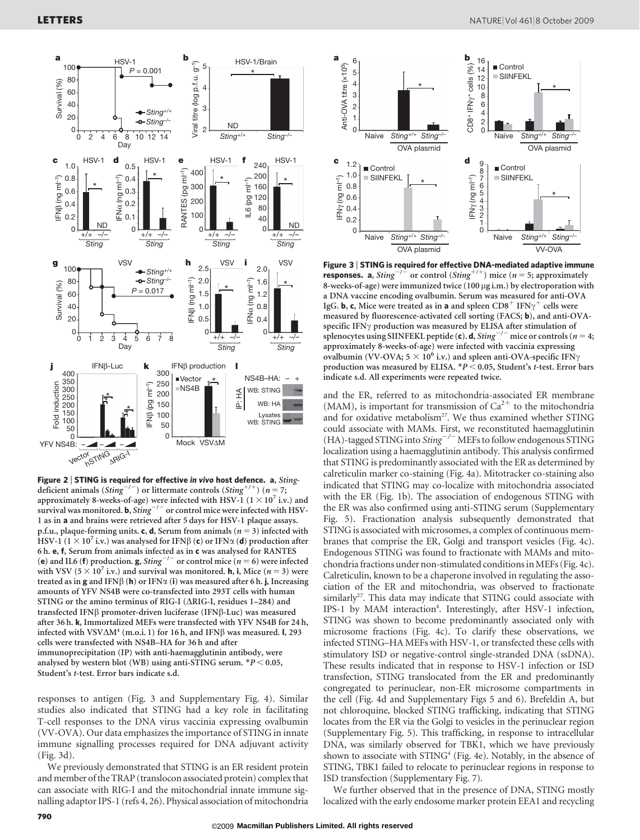

Figure 2 | STING is required for effective in vivo host defence. a, Stingdeficient animals (Sting<sup>-/-</sup>) or littermate controls (Sting<sup>+/+</sup>) (n = 7; approximately 8-weeks-of-age) were infected with HSV-1 ( $1 \times 10^7$  i.v.) and survival was monitored. **b**, Sting<sup>-/-</sup> or control mice were infected with HSV-1 as in a and brains were retrieved after 5 days for HSV-1 plaque assays. p.f.u., plaque-forming units. c, d, Serum from animals ( $n = 3$ ) infected with HSV-1 ( $1 \times 10^7$  i.v.) was analysed for IFN $\beta$  (c) or IFN $\alpha$  (d) production after 6 h. e, f, Serum from animals infected as in c was analysed for RANTES (e) and IL6 (f) production. g,  $String^{-/-}$  or control mice (n = 6) were infected with VSV (5  $\times$  10<sup>7</sup> i.v.) and survival was monitored. **h**, **i**, Mice (*n* = 3) were treated as in  $g$  and IFN $\beta$  (h) or IFN $\alpha$  (i) was measured after 6 h. j, Increasing amounts of YFV NS4B were co-transfected into 293T cells with human STING or the amino terminus of RIG-I ( $\triangle$ RIG-I, residues 1–284) and transfected IFN $\beta$  promoter-driven luciferase (IFN $\beta$ -Luc) was measured after 36 h. k, Immortalized MEFs were transfected with YFV NS4B for 24 h, infected with VSV $\Delta M^4$  (m.o.i. 1) for 16 h, and IFN $\beta$  was measured. l, 293 cells were transfected with NS4B–HA for 36 h and after immunoprecipitation (IP) with anti-haemagglutinin antibody, were analysed by western blot (WB) using anti-STING serum.  $*P < 0.05$ , Student's t-test. Error bars indicate s.d.

responses to antigen (Fig. 3 and Supplementary Fig. 4). Similar studies also indicated that STING had a key role in facilitating T-cell responses to the DNA virus vaccinia expressing ovalbumin (VV-OVA). Our data emphasizes the importance of STING in innate immune signalling processes required for DNA adjuvant activity (Fig. 3d).

We previously demonstrated that STING is an ER resident protein and member of the TRAP (translocon associated protein) complex that can associate with RIG-I and the mitochondrial innate immune signalling adaptor IPS-1 (refs 4, 26). Physical association of mitochondria



Figure 3 <sup>|</sup> STING is required for effective DNA-mediated adaptive immune **responses.** a, Sting<sup>-/-</sup> or control (Sting<sup>+/+</sup>) mice (n = 5; approximately 8-weeks-of-age) were immunized twice (100 µg i.m.) by electroporation with a DNA vaccine encoding ovalbumin. Serum was measured for anti-OVA IgG. **b**, **c**, Mice were treated as in **a** and spleen CD8<sup>+</sup> IFN $\gamma$ <sup>+</sup> cells were measured by fluorescence-activated cell sorting (FACS; b), and anti-OVAspecific IFN $\gamma$  production was measured by ELISA after stimulation of splenocytes using SIINFEKL peptide (c). d, Sting<sup>-/-</sup> mice or controls (n = 4; approximately 8-weeks-of-age) were infected with vaccinia expressing ovalbumin (VV-OVA;  $5 \times 10^6$  i.v.) and spleen anti-OVA-specific IFN $\gamma$ production was measured by ELISA.  $*P < 0.05$ , Student's t-test. Error bars indicate s.d. All experiments were repeated twice.

and the ER, referred to as mitochondria-associated ER membrane (MAM), is important for transmission of  $Ca^{2+}$  to the mitochondria and for oxidative metabolism<sup>27</sup>. We thus examined whether STING could associate with MAMs. First, we reconstituted haemagglutinin (HA)-tagged STING into  $\text{String}^{-/-}$  MEFs to follow endogenous STING localization using a haemagglutinin antibody. This analysis confirmed that STING is predominantly associated with the ER as determined by calreticulin marker co-staining (Fig. 4a). Mitotracker co-staining also indicated that STING may co-localize with mitochondria associated with the ER (Fig. 1b). The association of endogenous STING with the ER was also confirmed using anti-STING serum (Supplementary Fig. 5). Fractionation analysis subsequently demonstrated that STING is associated with microsomes, a complex of continuous membranes that comprise the ER, Golgi and transport vesicles (Fig. 4c). Endogenous STING was found to fractionate with MAMs and mitochondria fractions under non-stimulated conditions inMEFs (Fig. 4c). Calreticulin, known to be a chaperone involved in regulating the association of the ER and mitochondria, was observed to fractionate similarly<sup>27</sup>. This data may indicate that STING could associate with IPS-1 by MAM interaction<sup>4</sup>. Interestingly, after HSV-1 infection, STING was shown to become predominantly associated only with microsome fractions (Fig. 4c). To clarify these observations, we infected STING–HA MEFs with HSV-1, or transfected these cells with stimulatory ISD or negative-control single-stranded DNA (ssDNA). These results indicated that in response to HSV-1 infection or ISD transfection, STING translocated from the ER and predominantly congregated to perinuclear, non-ER microsome compartments in the cell (Fig. 4d and Supplementary Figs 5 and 6). Brefeldin A, but not chloroquine, blocked STING trafficking, indicating that STING locates from the ER via the Golgi to vesicles in the perinuclear region (Supplementary Fig. 5). This trafficking, in response to intracellular DNA, was similarly observed for TBK1, which we have previously shown to associate with  $STING<sup>4</sup>$  (Fig. 4e). Notably, in the absence of STING, TBK1 failed to relocate to perinuclear regions in response to ISD transfection (Supplementary Fig. 7).

We further observed that in the presence of DNA, STING mostly localized with the early endosome marker protein EEA1 and recycling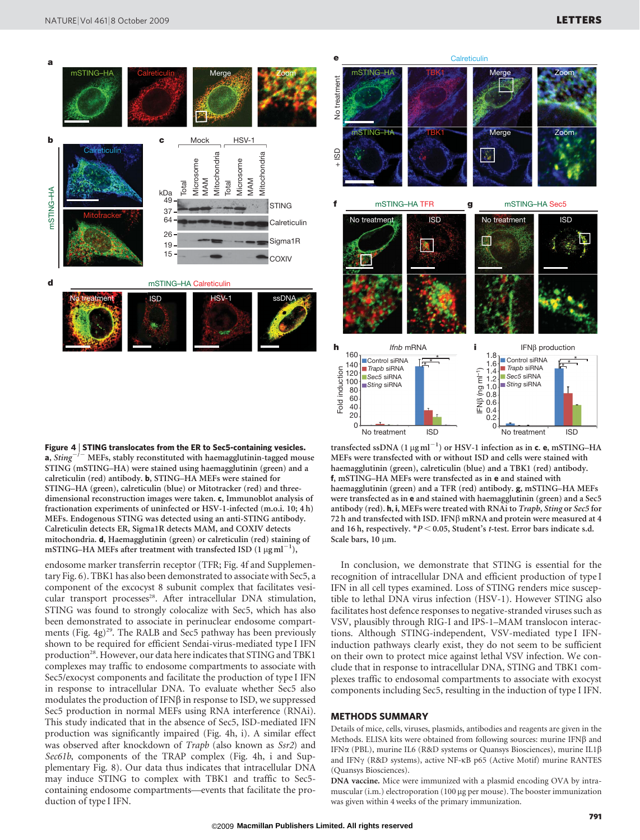



**Calreticulin** 

Figure 4 <sup>|</sup> STING translocates from the ER to Sec5-containing vesicles. **a**, Sting<sup> $-/-$ </sup> MEFs, stably reconstituted with haemagglutinin-tagged mouse STING (mSTING–HA) were stained using haemagglutinin (green) and a calreticulin (red) antibody. b, STING–HA MEFs were stained for STING–HA (green), calreticulin (blue) or Mitotracker (red) and threedimensional reconstruction images were taken. c, Immunoblot analysis of fractionation experiments of uninfected or HSV-1-infected (m.o.i. 10; 4 h) MEFs. Endogenous STING was detected using an anti-STING antibody. Calreticulin detects ER, Sigma1R detects MAM, and COXIV detects mitochondria. d, Haemagglutinin (green) or calreticulin (red) staining of mSTING–HA MEFs after treatment with transfected ISD  $(1 \mu g \, \text{ml}^{-1})$ ,

endosome marker transferrin receptor (TFR; Fig. 4f and Supplementary Fig. 6). TBK1 has also been demonstrated to associate with Sec5, a component of the excocyst 8 subunit complex that facilitates vesicular transport processes<sup>28</sup>. After intracellular DNA stimulation, STING was found to strongly colocalize with Sec5, which has also been demonstrated to associate in perinuclear endosome compartments (Fig. 4g)<sup>29</sup>. The RALB and Sec5 pathway has been previously shown to be required for efficient Sendai-virus-mediated type I IFN production<sup>28</sup>. However, our data here indicates that STING and TBK1 complexes may traffic to endosome compartments to associate with Sec5/exocyst components and facilitate the production of type I IFN in response to intracellular DNA. To evaluate whether Sec5 also modulates the production of IFN $\beta$  in response to ISD, we suppressed Sec5 production in normal MEFs using RNA interference (RNAi). This study indicated that in the absence of Sec5, ISD-mediated IFN production was significantly impaired (Fig. 4h, i). A similar effect was observed after knockdown of Trapb (also known as Ssr2) and Sec61b, components of the TRAP complex (Fig. 4h, i and Supplementary Fig. 8). Our data thus indicates that intracellular DNA may induce STING to complex with TBK1 and traffic to Sec5 containing endosome compartments—events that facilitate the production of type I IFN.

transfected ssDNA  $(1 \mu\text{g} \, \text{ml}^{-1})$  or HSV-1 infection as in c. e, mSTING–HA MEFs were transfected with or without ISD and cells were stained with haemagglutinin (green), calreticulin (blue) and a TBK1 (red) antibody. f, mSTING–HA MEFs were transfected as in e and stained with haemagglutinin (green) and a TFR (red) antibody. g, mSTING–HA MEFs were transfected as in e and stained with haemagglutinin (green) and a Sec5 antibody (red). h, i, MEFs were treated with RNAi to Trapb, Sting or Sec5 for 72 h and transfected with ISD. IFN $\beta$  mRNA and protein were measured at 4 and 16 h, respectively.  $*P < 0.05$ , Student's t-test. Error bars indicate s.d. Scale bars, 10 µm.

In conclusion, we demonstrate that STING is essential for the recognition of intracellular DNA and efficient production of type I IFN in all cell types examined. Loss of STING renders mice susceptible to lethal DNA virus infection (HSV-1). However STING also facilitates host defence responses to negative-stranded viruses such as VSV, plausibly through RIG-I and IPS-1–MAM translocon interactions. Although STING-independent, VSV-mediated type I IFNinduction pathways clearly exist, they do not seem to be sufficient on their own to protect mice against lethal VSV infection. We conclude that in response to intracellular DNA, STING and TBK1 complexes traffic to endosomal compartments to associate with exocyst components including Sec5, resulting in the induction of type I IFN.

### METHODS SUMMARY

Details of mice, cells, viruses, plasmids, antibodies and reagents are given in the Methods. ELISA kits were obtained from following sources: murine IFN $\beta$  and IFNa (PBL), murine IL6 (R&D systems or Quansys Biosciences), murine IL1b and IFNγ (R&D systems), active NF-κB p65 (Active Motif) murine RANTES (Quansys Biosciences).

DNA vaccine. Mice were immunized with a plasmid encoding OVA by intramuscular (i.m.) electroporation (100 µg per mouse). The booster immunization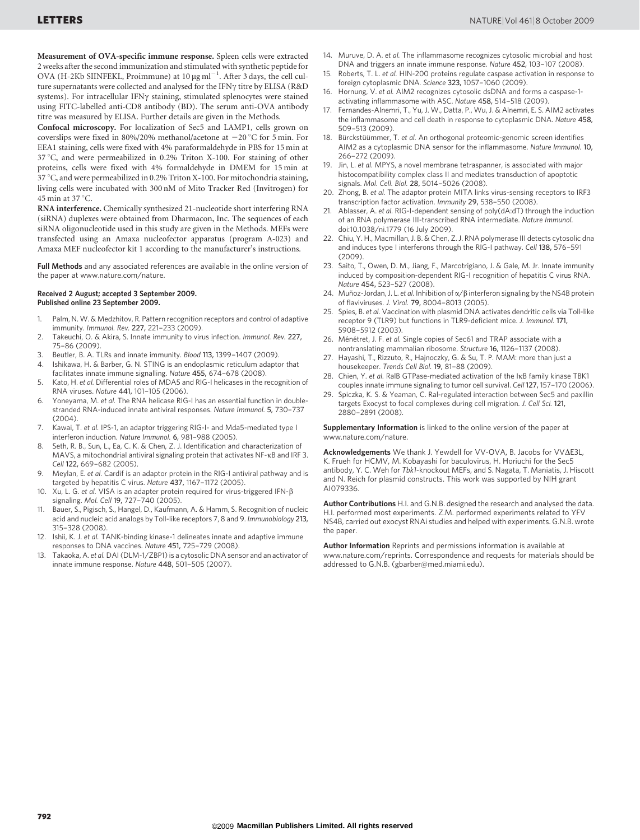Measurement of OVA-specific immune response. Spleen cells were extracted 2 weeks after the second immunization and stimulated with synthetic peptide for OVA (H-2Kb SIINFEKL, Proimmune) at 10  $\mu$ g ml<sup>-1</sup>. After 3 days, the cell culture supernatants were collected and analysed for the IFN $\gamma$  titre by ELISA (R&D systems). For intracellular IFN $\gamma$  staining, stimulated splenocytes were stained using FITC-labelled anti-CD8 antibody (BD). The serum anti-OVA antibody titre was measured by ELISA. Further details are given in the Methods.

Confocal microscopy. For localization of Sec5 and LAMP1, cells grown on coverslips were fixed in 80%/20% methanol/acetone at  $-20^{\circ}$ C for 5 min. For EEA1 staining, cells were fixed with 4% paraformaldehyde in PBS for 15 min at  $37^{\circ}$ C, and were permeabilized in 0.2% Triton X-100. For staining of other proteins, cells were fixed with 4% formaldehyde in DMEM for 15 min at 37 °C, and were permeabilized in 0.2% Triton X-100. For mitochondria staining, living cells were incubated with 300 nM of Mito Tracker Red (Invitrogen) for 45 min at 37 $°C$ .

RNA interference. Chemically synthesized 21-nucleotide short interfering RNA (siRNA) duplexes were obtained from Dharmacon, Inc. The sequences of each siRNA oligonucleotide used in this study are given in the Methods. MEFs were transfected using an Amaxa nucleofector apparatus (program A-023) and Amaxa MEF nucleofector kit 1 according to the manufacturer's instructions.

Full Methods and any associated references are available in the online version of the paper at<www.nature.com/nature>.

#### Received 2 August; accepted 3 September 2009. Published online 23 September 2009.

- 1. Palm, N. W. & Medzhitov, R. Pattern recognition receptors and control of adaptive immunity. Immunol. Rev. 227, 221–233 (2009).
- 2. Takeuchi, O. & Akira, S. Innate immunity to virus infection. Immunol. Rev. 227, 75–86 (2009).
- 3. Beutler, B. A. TLRs and innate immunity. Blood 113, 1399–1407 (2009).
- 4. Ishikawa, H. & Barber, G. N. STING is an endoplasmic reticulum adaptor that facilitates innate immune signalling. Nature 455, 674–678 (2008).
- 5. Kato, H. et al. Differential roles of MDA5 and RIG-I helicases in the recognition of RNA viruses. Nature 441, 101–105 (2006).
- 6. Yoneyama, M. et al. The RNA helicase RIG-I has an essential function in doublestranded RNA-induced innate antiviral responses. Nature Immunol. 5, 730–737  $(2004)$
- 7. Kawai, T. et al. IPS-1, an adaptor triggering RIG-I- and Mda5-mediated type I interferon induction. Nature Immunol. 6, 981–988 (2005).
- 8. Seth, R. B., Sun, L., Ea, C. K. & Chen, Z. J. Identification and characterization of MAVS, a mitochondrial antiviral signaling protein that activates NF-KB and IRF 3. Cell 122, 669–682 (2005).
- 9. Meylan, E. et al. Cardif is an adaptor protein in the RIG-I antiviral pathway and is targeted by hepatitis C virus. Nature 437, 1167–1172 (2005).
- 10. Xu, L. G. et al. VISA is an adapter protein required for virus-triggered IFN- $\beta$ signaling. Mol. Cell 19, 727–740 (2005).
- 11. Bauer, S., Pigisch, S., Hangel, D., Kaufmann, A. & Hamm, S. Recognition of nucleic acid and nucleic acid analogs by Toll-like receptors 7, 8 and 9. Immunobiology 213, 315–328 (2008).
- 12. Ishii, K. J. et al. TANK-binding kinase-1 delineates innate and adaptive immune responses to DNA vaccines. Nature 451, 725–729 (2008).
- 13. Takaoka, A. et al.DAI (DLM-1/ZBP1) is a cytosolic DNA sensor and an activator of innate immune response. Nature 448, 501–505 (2007).
- 14. Muruve, D. A. et al. The inflammasome recognizes cytosolic microbial and host DNA and triggers an innate immune response. Nature 452, 103–107 (2008).
- 15. Roberts, T. L. et al. HIN-200 proteins regulate caspase activation in response to foreign cytoplasmic DNA. Science 323, 1057–1060 (2009).
- Hornung, V. et al. AIM2 recognizes cytosolic dsDNA and forms a caspase-1activating inflammasome with ASC. Nature 458, 514–518 (2009).
- 17. Fernandes-Alnemri, T., Yu, J. W., Datta, P., Wu, J. & Alnemri, E. S. AIM2 activates the inflammasome and cell death in response to cytoplasmic DNA. Nature 458, 509–513 (2009).
- 18. Bürckstüümmer, T. et al. An orthogonal proteomic-genomic screen identifies AIM2 as a cytoplasmic DNA sensor for the inflammasome. Nature Immunol. 10, 266–272 (2009).
- 19. Jin, L. et al. MPYS, a novel membrane tetraspanner, is associated with major histocompatibility complex class II and mediates transduction of apoptotic signals. Mol. Cell. Biol. 28, 5014–5026 (2008).
- 20. Zhong, B. et al. The adaptor protein MITA links virus-sensing receptors to IRF3 transcription factor activation. Immunity 29, 538–550 (2008).
- 21. Ablasser, A. et al. RIG-I-dependent sensing of poly(dA:dT) through the induction of an RNA polymerase III-transcribed RNA intermediate. Nature Immunol. doi:10.1038/ni.1779 (16 July 2009).
- 22. Chiu, Y. H., Macmillan, J. B. & Chen, Z. J. RNA polymerase III detects cytosolic dna and induces type I interferons through the RIG-I pathway. Cell 138, 576–591  $(2009)$
- 23. Saito, T., Owen, D. M., Jiang, F., Marcotrigiano, J. & Gale, M. Jr. Innate immunity induced by composition-dependent RIG-I recognition of hepatitis C virus RNA. Nature 454, 523–527 (2008).
- 24. Muñoz-Jordan, J. L. et al. Inhibition of  $\alpha/\beta$  interferon signaling by the NS4B protein of flaviviruses. J. Virol. 79, 8004–8013 (2005).
- 25. Spies, B. et al. Vaccination with plasmid DNA activates dendritic cells via Toll-like receptor 9 (TLR9) but functions in TLR9-deficient mice. J. Immunol. 171, 5908–5912 (2003).
- 26. Ménétret, J. F. et al. Single copies of Sec61 and TRAP associate with a nontranslating mammalian ribosome. Structure 16, 1126–1137 (2008).
- 27. Hayashi, T., Rizzuto, R., Hajnoczky, G. & Su, T. P. MAM: more than just a housekeeper. Trends Cell Biol. 19, 81–88 (2009).
- 28. Chien, Y. et al. RalB GTPase-mediated activation of the IKB family kinase TBK1 couples innate immune signaling to tumor cell survival. Cell 127, 157–170 (2006).
- 29. Spiczka, K. S. & Yeaman, C. Ral-regulated interaction between Sec5 and paxillin targets Exocyst to focal complexes during cell migration. J. Cell Sci. 121, 2880–2891 (2008).

Supplementary Information is linked to the online version of the paper at <www.nature.com/nature>.

Acknowledgements We thank J. Yewdell for VV-OVA, B. Jacobs for VVAE3L, K. Frueh for HCMV, M. Kobayashi for baculovirus, H. Horiuchi for the Sec5 antibody, Y. C. Weh for Tbk1-knockout MEFs, and S. Nagata, T. Maniatis, J. Hiscott and N. Reich for plasmid constructs. This work was supported by NIH grant AI079336.

Author Contributions H.I. and G.N.B. designed the research and analysed the data. H.I. performed most experiments. Z.M. performed experiments related to YFV NS4B, carried out exocyst RNAi studies and helped with experiments. G.N.B. wrote the paper.

Author Information Reprints and permissions information is available at <www.nature.com/reprints>. Correspondence and requests for materials should be addressed to G.N.B. [\(gbarber@med.miami.edu\)](mailto:gbarber@med.miami.edu).